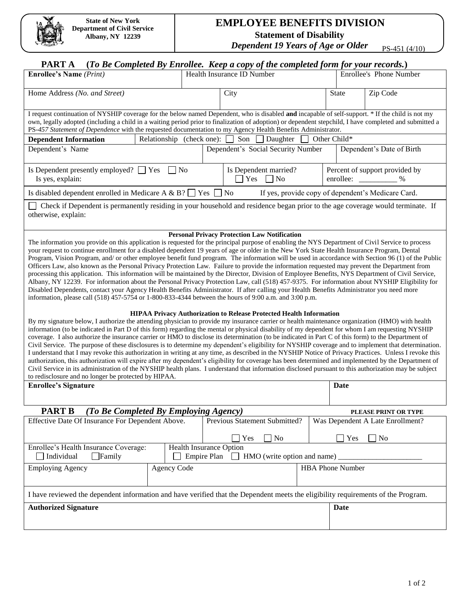## **EMPLOYEE BENEFITS DIVISION Statement of Disability**

*Dependent 19 Years of Age or Older* PS-451 (4/10)

## **PART A (***To Be Completed By Enrollee. Keep a copy of the completed form for your records.***)**

| <b>Enrollee's Name</b> (Print)                                                                                                                                                                                                                                                                                                                                                                                                                                                                                                                                                                                                                                                                                                                                                                                                                                                                                                                                                                                                                                                                                                                                                                                                                                                                                                                                                                                                                                                                                                                                                                                                                                                                                                                                                                                                                                                                                                                                                                                                                                                                                                                                                                                                                                                                                                                                                                                                                                                                             |                           |                                                  | Health Insurance ID Number    |  |                                                  | Enrollee's Phone Number                            |  |
|------------------------------------------------------------------------------------------------------------------------------------------------------------------------------------------------------------------------------------------------------------------------------------------------------------------------------------------------------------------------------------------------------------------------------------------------------------------------------------------------------------------------------------------------------------------------------------------------------------------------------------------------------------------------------------------------------------------------------------------------------------------------------------------------------------------------------------------------------------------------------------------------------------------------------------------------------------------------------------------------------------------------------------------------------------------------------------------------------------------------------------------------------------------------------------------------------------------------------------------------------------------------------------------------------------------------------------------------------------------------------------------------------------------------------------------------------------------------------------------------------------------------------------------------------------------------------------------------------------------------------------------------------------------------------------------------------------------------------------------------------------------------------------------------------------------------------------------------------------------------------------------------------------------------------------------------------------------------------------------------------------------------------------------------------------------------------------------------------------------------------------------------------------------------------------------------------------------------------------------------------------------------------------------------------------------------------------------------------------------------------------------------------------------------------------------------------------------------------------------------------------|---------------------------|--------------------------------------------------|-------------------------------|--|--------------------------------------------------|----------------------------------------------------|--|
| Home Address (No. and Street)                                                                                                                                                                                                                                                                                                                                                                                                                                                                                                                                                                                                                                                                                                                                                                                                                                                                                                                                                                                                                                                                                                                                                                                                                                                                                                                                                                                                                                                                                                                                                                                                                                                                                                                                                                                                                                                                                                                                                                                                                                                                                                                                                                                                                                                                                                                                                                                                                                                                              |                           |                                                  | City                          |  | <b>State</b>                                     | Zip Code                                           |  |
| I request continuation of NYSHIP coverage for the below named Dependent, who is disabled and incapable of self-support. * If the child is not my<br>own, legally adopted (including a child in a waiting period prior to finalization of adoption) or dependent stepchild, I have completed and submitted a<br>PS-457 Statement of Dependence with the requested documentation to my Agency Health Benefits Administrator.                                                                                                                                                                                                                                                                                                                                                                                                                                                                                                                                                                                                                                                                                                                                                                                                                                                                                                                                                                                                                                                                                                                                                                                                                                                                                                                                                                                                                                                                                                                                                                                                                                                                                                                                                                                                                                                                                                                                                                                                                                                                                 |                           |                                                  |                               |  |                                                  |                                                    |  |
| <b>Dependent Information</b>                                                                                                                                                                                                                                                                                                                                                                                                                                                                                                                                                                                                                                                                                                                                                                                                                                                                                                                                                                                                                                                                                                                                                                                                                                                                                                                                                                                                                                                                                                                                                                                                                                                                                                                                                                                                                                                                                                                                                                                                                                                                                                                                                                                                                                                                                                                                                                                                                                                                               | Relationship (check one): |                                                  | Son<br>Daughter               |  | Other Child*                                     |                                                    |  |
| Dependent's Name<br>Dependent's Social Security Number<br>Dependent's Date of Birth                                                                                                                                                                                                                                                                                                                                                                                                                                                                                                                                                                                                                                                                                                                                                                                                                                                                                                                                                                                                                                                                                                                                                                                                                                                                                                                                                                                                                                                                                                                                                                                                                                                                                                                                                                                                                                                                                                                                                                                                                                                                                                                                                                                                                                                                                                                                                                                                                        |                           |                                                  |                               |  |                                                  |                                                    |  |
| Is Dependent presently employed? $\Box$ Yes<br>Is yes, explain:                                                                                                                                                                                                                                                                                                                                                                                                                                                                                                                                                                                                                                                                                                                                                                                                                                                                                                                                                                                                                                                                                                                                                                                                                                                                                                                                                                                                                                                                                                                                                                                                                                                                                                                                                                                                                                                                                                                                                                                                                                                                                                                                                                                                                                                                                                                                                                                                                                            |                           | Is Dependent married?<br>$\exists$ Yes $\Box$ No |                               |  | Percent of support provided by<br>enrollee:<br>% |                                                    |  |
| Is disabled dependent enrolled in Medicare A & B? $\Box$ Yes                                                                                                                                                                                                                                                                                                                                                                                                                                                                                                                                                                                                                                                                                                                                                                                                                                                                                                                                                                                                                                                                                                                                                                                                                                                                                                                                                                                                                                                                                                                                                                                                                                                                                                                                                                                                                                                                                                                                                                                                                                                                                                                                                                                                                                                                                                                                                                                                                                               |                           |                                                  | $\overline{N}$                |  |                                                  | If yes, provide copy of dependent's Medicare Card. |  |
| Check if Dependent is permanently residing in your household and residence began prior to the age coverage would terminate. If<br>otherwise, explain:                                                                                                                                                                                                                                                                                                                                                                                                                                                                                                                                                                                                                                                                                                                                                                                                                                                                                                                                                                                                                                                                                                                                                                                                                                                                                                                                                                                                                                                                                                                                                                                                                                                                                                                                                                                                                                                                                                                                                                                                                                                                                                                                                                                                                                                                                                                                                      |                           |                                                  |                               |  |                                                  |                                                    |  |
| <b>Personal Privacy Protection Law Notification</b><br>The information you provide on this application is requested for the principal purpose of enabling the NYS Department of Civil Service to process<br>your request to continue enrollment for a disabled dependent 19 years of age or older in the New York State Health Insurance Program, Dental<br>Program, Vision Program, and/ or other employee benefit fund program. The information will be used in accordance with Section 96 (1) of the Public<br>Officers Law, also known as the Personal Privacy Protection Law. Failure to provide the information requested may prevent the Department from<br>processing this application. This information will be maintained by the Director, Division of Employee Benefits, NYS Department of Civil Service,<br>Albany, NY 12239. For information about the Personal Privacy Protection Law, call (518) 457-9375. For information about NYSHIP Eligibility for<br>Disabled Dependents, contact your Agency Health Benefits Administrator. If after calling your Health Benefits Administrator you need more<br>information, please call (518) 457-5754 or 1-800-833-4344 between the hours of 9:00 a.m. and 3:00 p.m.<br><b>HIPAA Privacy Authorization to Release Protected Health Information</b><br>By my signature below, I authorize the attending physician to provide my insurance carrier or health maintenance organization (HMO) with health<br>information (to be indicated in Part D of this form) regarding the mental or physical disability of my dependent for whom I am requesting NYSHIP<br>coverage. I also authorize the insurance carrier or HMO to disclose its determination (to be indicated in Part C of this form) to the Department of<br>Civil Service. The purpose of these disclosures is to determine my dependent's eligibility for NYSHIP coverage and to implement that determination.<br>I understand that I may revoke this authorization in writing at any time, as described in the NYSHIP Notice of Privacy Practices. Unless I revoke this<br>authorization, this authorization will expire after my dependent's eligibility for coverage has been determined and implemented by the Department of<br>Civil Service in its administration of the NYSHIP health plans. I understand that information disclosed pursuant to this authorization may be subject<br>to redisclosure and no longer be protected by HIPAA.<br><b>Enrollee's Signature</b><br>Date |                           |                                                  |                               |  |                                                  |                                                    |  |
| <b>PART B</b><br>(To Be Completed By Employing Agency)<br>PLEASE PRINT OR TYPE                                                                                                                                                                                                                                                                                                                                                                                                                                                                                                                                                                                                                                                                                                                                                                                                                                                                                                                                                                                                                                                                                                                                                                                                                                                                                                                                                                                                                                                                                                                                                                                                                                                                                                                                                                                                                                                                                                                                                                                                                                                                                                                                                                                                                                                                                                                                                                                                                             |                           |                                                  |                               |  |                                                  |                                                    |  |
| Effective Date Of Insurance For Dependent Above.                                                                                                                                                                                                                                                                                                                                                                                                                                                                                                                                                                                                                                                                                                                                                                                                                                                                                                                                                                                                                                                                                                                                                                                                                                                                                                                                                                                                                                                                                                                                                                                                                                                                                                                                                                                                                                                                                                                                                                                                                                                                                                                                                                                                                                                                                                                                                                                                                                                           |                           |                                                  | Previous Statement Submitted? |  | Was Dependent A Late Enrollment?                 |                                                    |  |
|                                                                                                                                                                                                                                                                                                                                                                                                                                                                                                                                                                                                                                                                                                                                                                                                                                                                                                                                                                                                                                                                                                                                                                                                                                                                                                                                                                                                                                                                                                                                                                                                                                                                                                                                                                                                                                                                                                                                                                                                                                                                                                                                                                                                                                                                                                                                                                                                                                                                                                            |                           |                                                  | Yes<br>No                     |  | Yes                                              | No                                                 |  |
| Health Insurance Option<br>Enrollee's Health Insurance Coverage:<br>Empire Plan $\Box$ HMO (write option and name)<br>Individual<br>$\Box$ Family                                                                                                                                                                                                                                                                                                                                                                                                                                                                                                                                                                                                                                                                                                                                                                                                                                                                                                                                                                                                                                                                                                                                                                                                                                                                                                                                                                                                                                                                                                                                                                                                                                                                                                                                                                                                                                                                                                                                                                                                                                                                                                                                                                                                                                                                                                                                                          |                           |                                                  |                               |  |                                                  |                                                    |  |
| <b>Agency Code</b><br><b>Employing Agency</b>                                                                                                                                                                                                                                                                                                                                                                                                                                                                                                                                                                                                                                                                                                                                                                                                                                                                                                                                                                                                                                                                                                                                                                                                                                                                                                                                                                                                                                                                                                                                                                                                                                                                                                                                                                                                                                                                                                                                                                                                                                                                                                                                                                                                                                                                                                                                                                                                                                                              |                           |                                                  |                               |  | <b>HBA Phone Number</b>                          |                                                    |  |
| I have reviewed the dependent information and have verified that the Dependent meets the eligibility requirements of the Program.                                                                                                                                                                                                                                                                                                                                                                                                                                                                                                                                                                                                                                                                                                                                                                                                                                                                                                                                                                                                                                                                                                                                                                                                                                                                                                                                                                                                                                                                                                                                                                                                                                                                                                                                                                                                                                                                                                                                                                                                                                                                                                                                                                                                                                                                                                                                                                          |                           |                                                  |                               |  |                                                  |                                                    |  |
| <b>Authorized Signature</b>                                                                                                                                                                                                                                                                                                                                                                                                                                                                                                                                                                                                                                                                                                                                                                                                                                                                                                                                                                                                                                                                                                                                                                                                                                                                                                                                                                                                                                                                                                                                                                                                                                                                                                                                                                                                                                                                                                                                                                                                                                                                                                                                                                                                                                                                                                                                                                                                                                                                                |                           |                                                  |                               |  | Date                                             |                                                    |  |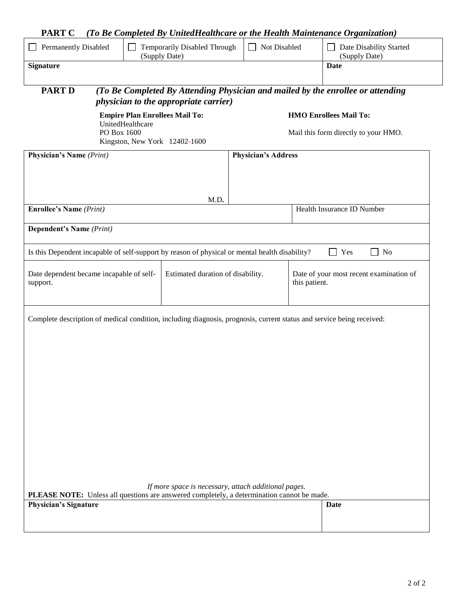|  |  |  | <b>PART C</b> (To Be Completed By UnitedHealthcare or the Health Maintenance Organization) |  |
|--|--|--|--------------------------------------------------------------------------------------------|--|
|--|--|--|--------------------------------------------------------------------------------------------|--|

|                                                                                                           |  |                                   | Temporarily Disabled Through                                                                                                                              |                                                                       | Not Disabled                                             |                                          |                                                                                 |
|-----------------------------------------------------------------------------------------------------------|--|-----------------------------------|-----------------------------------------------------------------------------------------------------------------------------------------------------------|-----------------------------------------------------------------------|----------------------------------------------------------|------------------------------------------|---------------------------------------------------------------------------------|
| <b>Permanently Disabled</b>                                                                               |  | (Supply Date)                     |                                                                                                                                                           |                                                                       |                                                          | Date Disability Started<br>(Supply Date) |                                                                                 |
| <b>Signature</b>                                                                                          |  |                                   |                                                                                                                                                           |                                                                       |                                                          |                                          | Date                                                                            |
| <b>PART D</b>                                                                                             |  |                                   | <i>physician to the appropriate carrier)</i>                                                                                                              |                                                                       |                                                          |                                          | (To Be Completed By Attending Physician and mailed by the enrollee or attending |
| <b>Empire Plan Enrollees Mail To:</b><br>UnitedHealthcare<br>PO Box 1600<br>Kingston, New York 12402-1600 |  |                                   |                                                                                                                                                           | <b>HMO Enrollees Mail To:</b><br>Mail this form directly to your HMO. |                                                          |                                          |                                                                                 |
| <b>Physician's Name</b> (Print)                                                                           |  |                                   |                                                                                                                                                           |                                                                       | <b>Physician's Address</b>                               |                                          |                                                                                 |
|                                                                                                           |  |                                   |                                                                                                                                                           |                                                                       |                                                          |                                          |                                                                                 |
| <b>Enrollee's Name</b> (Print)                                                                            |  |                                   | M.D.                                                                                                                                                      |                                                                       |                                                          |                                          | Health Insurance ID Number                                                      |
|                                                                                                           |  |                                   |                                                                                                                                                           |                                                                       |                                                          |                                          |                                                                                 |
| <b>Dependent's Name</b> (Print)                                                                           |  |                                   |                                                                                                                                                           |                                                                       |                                                          |                                          |                                                                                 |
|                                                                                                           |  |                                   | Is this Dependent incapable of self-support by reason of physical or mental health disability?                                                            |                                                                       |                                                          |                                          | Yes<br>No                                                                       |
| Date dependent became incapable of self-<br>support.                                                      |  | Estimated duration of disability. |                                                                                                                                                           |                                                                       | Date of your most recent examination of<br>this patient. |                                          |                                                                                 |
|                                                                                                           |  |                                   | Complete description of medical condition, including diagnosis, prognosis, current status and service being received:                                     |                                                                       |                                                          |                                          |                                                                                 |
| Physician's Signature                                                                                     |  |                                   | If more space is necessary, attach additional pages.<br><b>PLEASE NOTE:</b> Unless all questions are answered completely, a determination cannot be made. |                                                                       |                                                          |                                          | <b>Date</b>                                                                     |